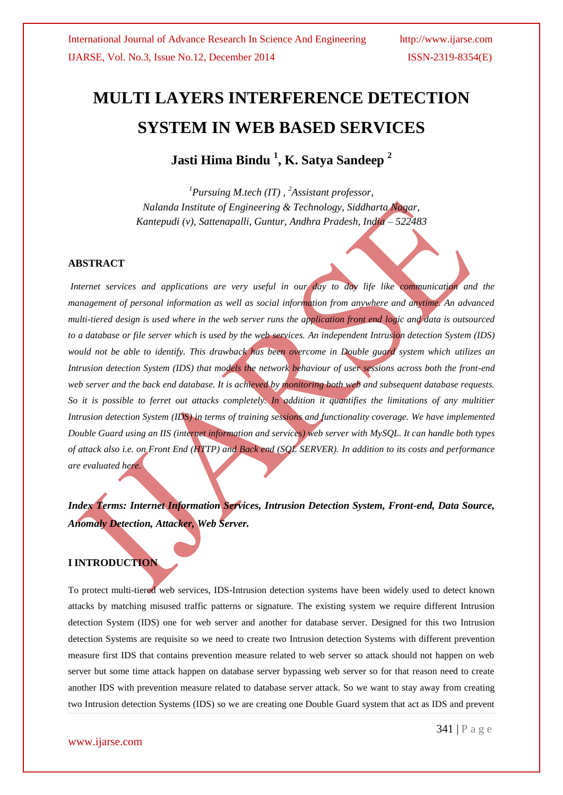# **MULTI LAYERS INTERFERENCE DETECTION SYSTEM IN WEB BASED SERVICES**

**Jasti Hima Bindu <sup>1</sup> , K. Satya Sandeep <sup>2</sup>**

*<sup>1</sup>Pursuing M.tech (IT) , <sup>2</sup>Assistant professor, Nalanda Institute of Engineering & Technology, Siddharta Nagar, Kantepudi (v), Sattenapalli, Guntur, Andhra Pradesh, India – 522483*

### **ABSTRACT**

*Internet services and applications are very useful in our day to day life like communication and the management of personal information as well as social information from anywhere and anytime. An advanced multi-tiered design is used where in the web server runs the application front end logic and data is outsourced to a database or file server which is used by the web services. An independent Intrusion detection System (IDS) would not be able to identify. This drawback has been overcome in Double guard system which utilizes an Intrusion detection System (IDS) that models the network behaviour of user sessions across both the front-end web server and the back end database. It is achieved by monitoring both web and subsequent database requests. So it is possible to ferret out attacks completely. In addition it quantifies the limitations of any multitier Intrusion detection System (IDS) in terms of training sessions and functionality coverage. We have implemented Double Guard using an IIS (internet information and services) web server with MySQL. It can handle both types of attack also i.e. on Front End (HTTP) and Back end (SQL SERVER). In addition to its costs and performance are evaluated here.*

*Index Terms: Internet Information Services, Intrusion Detection System, Front-end, Data Source, Anomaly Detection, Attacker, Web Server.*

## **I INTRODUCTION**

To protect multi-tiered web services, IDS-Intrusion detection systems have been widely used to detect known attacks by matching misused traffic patterns or signature. The existing system we require different Intrusion detection System (IDS) one for web server and another for database server. Designed for this two Intrusion detection Systems are requisite so we need to create two Intrusion detection Systems with different prevention measure first IDS that contains prevention measure related to web server so attack should not happen on web server but some time attack happen on database server bypassing web server so for that reason need to create another IDS with prevention measure related to database server attack. So we want to stay away from creating two Intrusion detection Systems (IDS) so we are creating one Double Guard system that act as IDS and prevent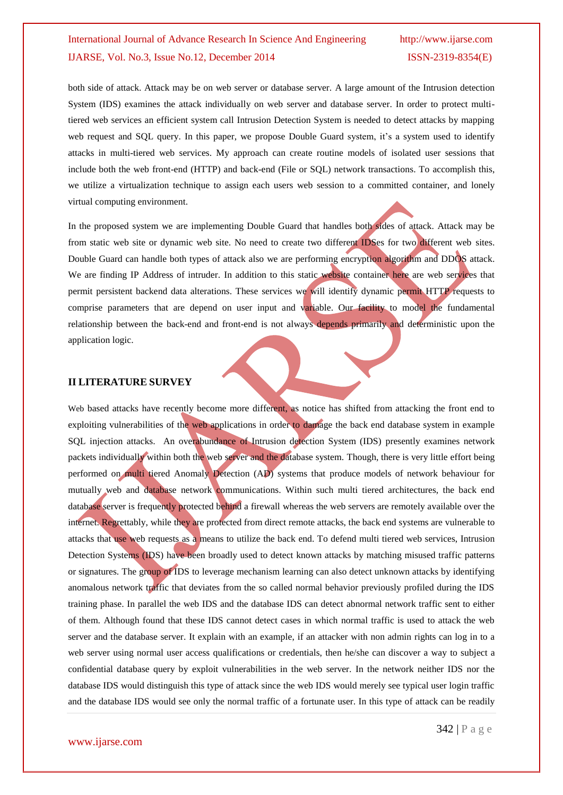both side of attack. Attack may be on web server or database server. A large amount of the Intrusion detection System (IDS) examines the attack individually on web server and database server. In order to protect multitiered web services an efficient system call Intrusion Detection System is needed to detect attacks by mapping web request and SQL query. In this paper, we propose Double Guard system, it's a system used to identify attacks in multi-tiered web services. My approach can create routine models of isolated user sessions that include both the web front-end (HTTP) and back-end (File or SQL) network transactions. To accomplish this, we utilize a virtualization technique to assign each users web session to a committed container, and lonely virtual computing environment.

In the proposed system we are implementing Double Guard that handles both sides of attack. Attack may be from static web site or dynamic web site. No need to create two different IDSes for two different web sites. Double Guard can handle both types of attack also we are performing encryption algorithm and DDOS attack. We are finding IP Address of intruder. In addition to this static website container here are web services that permit persistent backend data alterations. These services we will identify dynamic permit HTTP requests to comprise parameters that are depend on user input and variable. Our facility to model the fundamental relationship between the back-end and front-end is not always depends primarily and deterministic upon the application logic.

# **II LITERATURE SURVEY**

Web based attacks have recently become more different, as notice has shifted from attacking the front end to exploiting vulnerabilities of the web applications in order to damage the back end database system in example SQL injection attacks. An overabundance of Intrusion detection System (IDS) presently examines network packets individually within both the web server and the database system. Though, there is very little effort being performed on multi tiered Anomaly Detection (AD) systems that produce models of network behaviour for mutually web and database network communications. Within such multi tiered architectures, the back end database server is frequently protected behind a firewall whereas the web servers are remotely available over the internet. Regrettably, while they are protected from direct remote attacks, the back end systems are vulnerable to attacks that use web requests as a means to utilize the back end. To defend multi tiered web services, Intrusion Detection Systems (IDS) have been broadly used to detect known attacks by matching misused traffic patterns or signatures. The group of IDS to leverage mechanism learning can also detect unknown attacks by identifying anomalous network traffic that deviates from the so called normal behavior previously profiled during the IDS training phase. In parallel the web IDS and the database IDS can detect abnormal network traffic sent to either of them. Although found that these IDS cannot detect cases in which normal traffic is used to attack the web server and the database server. It explain with an example, if an attacker with non admin rights can log in to a web server using normal user access qualifications or credentials, then he/she can discover a way to subject a confidential database query by exploit vulnerabilities in the web server. In the network neither IDS nor the database IDS would distinguish this type of attack since the web IDS would merely see typical user login traffic and the database IDS would see only the normal traffic of a fortunate user. In this type of attack can be readily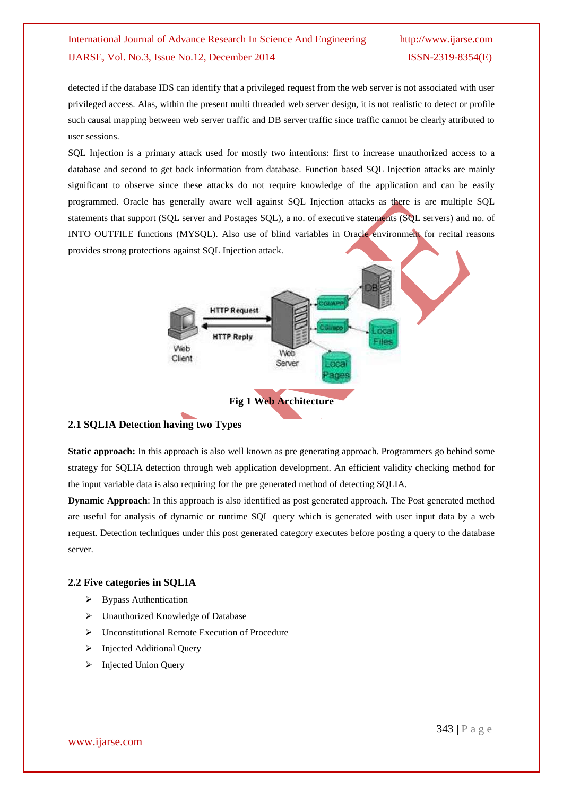detected if the database IDS can identify that a privileged request from the web server is not associated with user privileged access. Alas, within the present multi threaded web server design, it is not realistic to detect or profile such causal mapping between web server traffic and DB server traffic since traffic cannot be clearly attributed to user sessions.

SQL Injection is a primary attack used for mostly two intentions: first to increase unauthorized access to a database and second to get back information from database. Function based SQL Injection attacks are mainly significant to observe since these attacks do not require knowledge of the application and can be easily programmed. Oracle has generally aware well against SQL Injection attacks as there is are multiple SQL statements that support (SQL server and Postages SQL), a no. of executive statements (SQL servers) and no. of INTO OUTFILE functions (MYSQL). Also use of blind variables in Oracle environment for recital reasons provides strong protections against SQL Injection attack.



# **2.1 SQLIA Detection having two Types**

**Static approach:** In this approach is also well known as pre generating approach. Programmers go behind some strategy for SQLIA detection through web application development. An efficient validity checking method for the input variable data is also requiring for the pre generated method of detecting SQLIA.

**Dynamic Approach**: In this approach is also identified as post generated approach. The Post generated method are useful for analysis of dynamic or runtime SQL query which is generated with user input data by a web request. Detection techniques under this post generated category executes before posting a query to the database server.

# **2.2 Five categories in SQLIA**

- $\triangleright$  Bypass Authentication
- Unauthorized Knowledge of Database
- Unconstitutional Remote Execution of Procedure
- > Injected Additional Query
- > Injected Union Query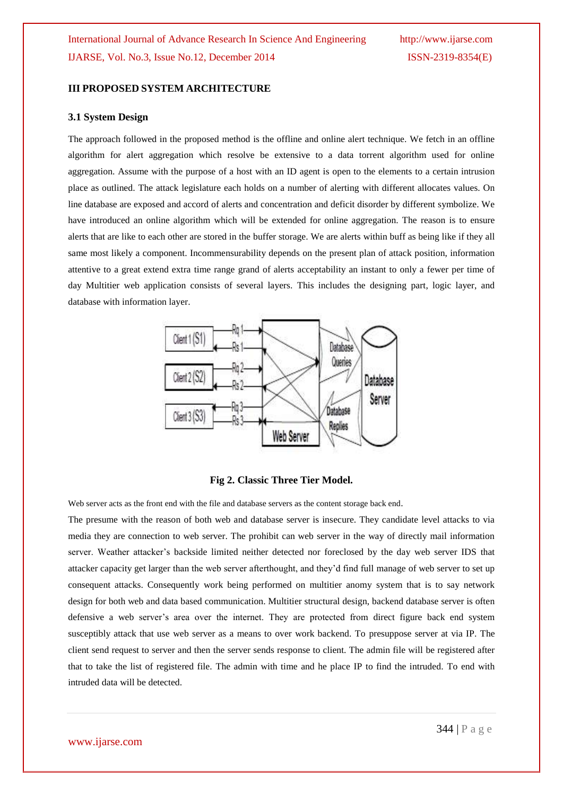#### **III PROPOSED SYSTEM ARCHITECTURE**

#### **3.1 System Design**

The approach followed in the proposed method is the offline and online alert technique. We fetch in an offline algorithm for alert aggregation which resolve be extensive to a data torrent algorithm used for online aggregation. Assume with the purpose of a host with an ID agent is open to the elements to a certain intrusion place as outlined. The attack legislature each holds on a number of alerting with different allocates values. On line database are exposed and accord of alerts and concentration and deficit disorder by different symbolize. We have introduced an online algorithm which will be extended for online aggregation. The reason is to ensure alerts that are like to each other are stored in the buffer storage. We are alerts within buff as being like if they all same most likely a component. Incommensurability depends on the present plan of attack position, information attentive to a great extend extra time range grand of alerts acceptability an instant to only a fewer per time of day Multitier web application consists of several layers. This includes the designing part, logic layer, and database with information layer.



**Fig 2. Classic Three Tier Model.**

Web server acts as the front end with the file and database servers as the content storage back end.

The presume with the reason of both web and database server is insecure. They candidate level attacks to via media they are connection to web server. The prohibit can web server in the way of directly mail information server. Weather attacker"s backside limited neither detected nor foreclosed by the day web server IDS that attacker capacity get larger than the web server afterthought, and they"d find full manage of web server to set up consequent attacks. Consequently work being performed on multitier anomy system that is to say network design for both web and data based communication. Multitier structural design, backend database server is often defensive a web server"s area over the internet. They are protected from direct figure back end system susceptibly attack that use web server as a means to over work backend. To presuppose server at via IP. The client send request to server and then the server sends response to client. The admin file will be registered after that to take the list of registered file. The admin with time and he place IP to find the intruded. To end with intruded data will be detected.

www.ijarse.com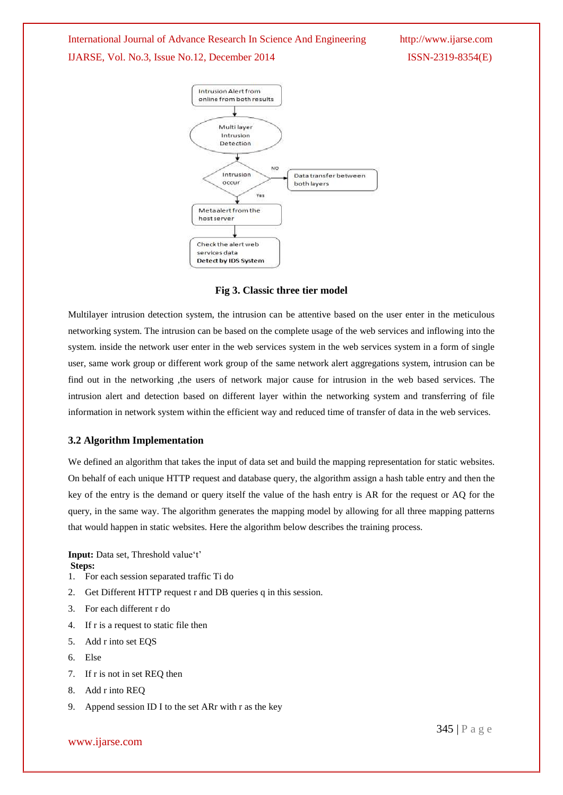

**Fig 3. Classic three tier model**

Multilayer intrusion detection system, the intrusion can be attentive based on the user enter in the meticulous networking system. The intrusion can be based on the complete usage of the web services and inflowing into the system. inside the network user enter in the web services system in the web services system in a form of single user, same work group or different work group of the same network alert aggregations system, intrusion can be find out in the networking ,the users of network major cause for intrusion in the web based services. The intrusion alert and detection based on different layer within the networking system and transferring of file information in network system within the efficient way and reduced time of transfer of data in the web services.

#### **3.2 Algorithm Implementation**

We defined an algorithm that takes the input of data set and build the mapping representation for static websites. On behalf of each unique HTTP request and database query, the algorithm assign a hash table entry and then the key of the entry is the demand or query itself the value of the hash entry is AR for the request or AQ for the query, in the same way. The algorithm generates the mapping model by allowing for all three mapping patterns that would happen in static websites. Here the algorithm below describes the training process.

**Input:** Data set, Threshold value't' **Steps:**

- 1. For each session separated traffic Ti do
- 2. Get Different HTTP request r and DB queries q in this session.
- 3. For each different r do
- 4. If r is a request to static file then
- 5. Add r into set EQS
- 6. Else
- 7. If r is not in set REQ then
- 8. Add r into REQ
- 9. Append session ID I to the set ARr with r as the key

www.ijarse.com

345 | P a g e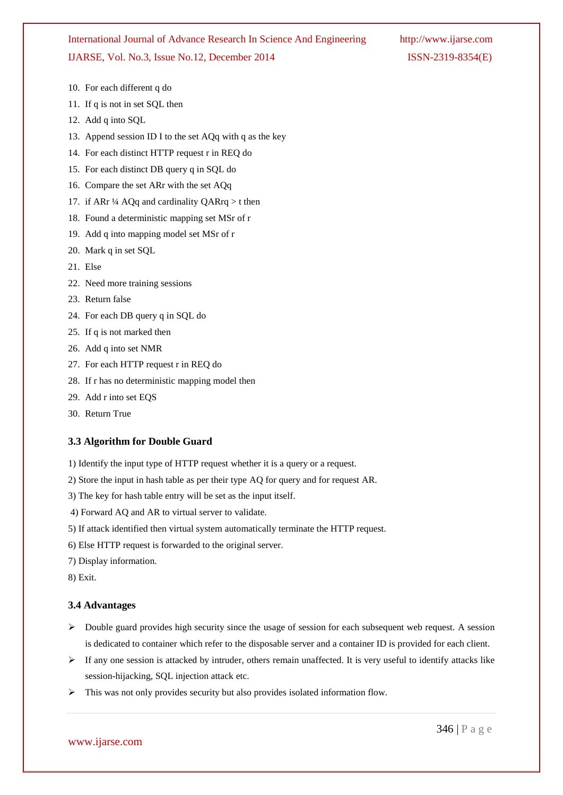- 10. For each different q do
- 11. If q is not in set SQL then
- 12. Add a into SOL
- 13. Append session ID I to the set AQq with q as the key
- 14. For each distinct HTTP request r in REQ do
- 15. For each distinct DB query q in SQL do
- 16. Compare the set ARr with the set AQq
- 17. if ARr  $\frac{1}{4}$  AQq and cardinality QARrq  $>$  t then
- 18. Found a deterministic mapping set MSr of r
- 19. Add q into mapping model set MSr of r
- 20. Mark q in set SQL
- 21. Else
- 22. Need more training sessions
- 23. Return false
- 24. For each DB query q in SQL do
- 25. If q is not marked then
- 26. Add q into set NMR
- 27. For each HTTP request r in REQ do
- 28. If r has no deterministic mapping model then
- 29. Add r into set EQS
- 30. Return True

### **3.3 Algorithm for Double Guard**

- 1) Identify the input type of HTTP request whether it is a query or a request.
- 2) Store the input in hash table as per their type AQ for query and for request AR.
- 3) The key for hash table entry will be set as the input itself.
- 4) Forward AQ and AR to virtual server to validate.
- 5) If attack identified then virtual system automatically terminate the HTTP request.
- 6) Else HTTP request is forwarded to the original server.
- 7) Display information.

8) Exit.

#### **3.4 Advantages**

- $\triangleright$  Double guard provides high security since the usage of session for each subsequent web request. A session is dedicated to container which refer to the disposable server and a container ID is provided for each client.
- $\triangleright$  If any one session is attacked by intruder, others remain unaffected. It is very useful to identify attacks like session-hijacking, SQL injection attack etc.
- $\triangleright$  This was not only provides security but also provides isolated information flow.